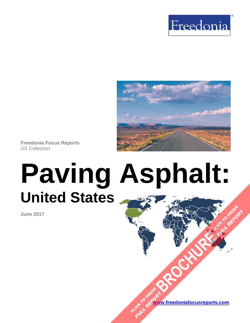



**Freedonia Focus Reports** US Collection

# **Paving Asphalt: United States [BROCHURE](https://www.freedoniafocusreports.com/Paving-Asphalt-United-States-FF60102/?progid=89541) CLICK TO ORDER**

**June 2017**

**www.freedoniafocusreports.com** CLICK TO ORDER **FULL REPORT** 

**FULL REPORT**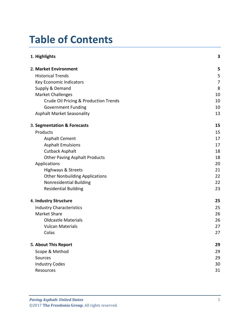# **Table of Contents**

| 1. Highlights                         | 3  |
|---------------------------------------|----|
| 2. Market Environment                 | 5  |
| <b>Historical Trends</b>              | 5  |
| Key Economic Indicators               | 7  |
| Supply & Demand                       | 8  |
| <b>Market Challenges</b>              | 10 |
| Crude Oil Pricing & Production Trends | 10 |
| <b>Government Funding</b>             | 10 |
| <b>Asphalt Market Seasonality</b>     | 13 |
| 3. Segmentation & Forecasts           | 15 |
| Products                              | 15 |
| <b>Asphalt Cement</b>                 | 17 |
| <b>Asphalt Emulsions</b>              | 17 |
| <b>Cutback Asphalt</b>                | 18 |
| <b>Other Paving Asphalt Products</b>  | 18 |
| Applications                          | 20 |
| Highways & Streets                    | 21 |
| <b>Other Nonbuilding Applications</b> | 22 |
| Nonresidential Building               | 22 |
| <b>Residential Building</b>           | 23 |
| 4. Industry Structure                 | 25 |
| <b>Industry Characteristics</b>       | 25 |
| <b>Market Share</b>                   | 26 |
| <b>Oldcastle Materials</b>            | 26 |
| <b>Vulcan Materials</b>               | 27 |
| Colas                                 | 27 |
| 5. About This Report                  | 29 |
| Scope & Method                        | 29 |
| Sources                               | 29 |
| <b>Industry Codes</b>                 | 30 |
| Resources                             | 31 |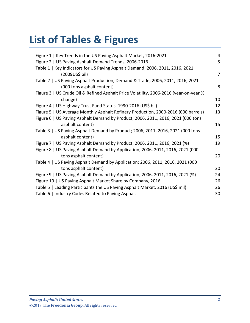# **List of Tables & Figures**

| 4              |
|----------------|
| 5              |
|                |
| $\overline{7}$ |
|                |
| 8              |
|                |
| 10             |
| 12             |
| 13             |
|                |
| 15             |
|                |
| 15             |
| 19             |
|                |
| 20             |
|                |
| 20             |
| 24             |
| 26             |
| 26             |
| 30             |
|                |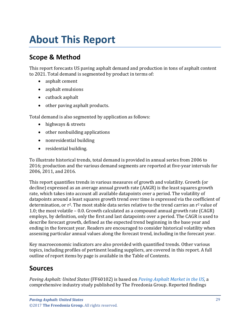# <span id="page-3-0"></span>**About This Report**

# <span id="page-3-1"></span>**Scope & Method**

This report forecasts US paving asphalt demand and production in tons of asphalt content to 2021. Total demand is segmented by product in terms of:

- asphalt cement
- asphalt emulsions
- cutback asphalt
- other paving asphalt products.

Total demand is also segmented by application as follows:

- highways & streets
- other nonbuilding applications
- nonresidential building
- residential building.

To illustrate historical trends, total demand is provided in annual series from 2006 to 2016; production and the various demand segments are reported at five-year intervals for 2006, 2011, and 2016.

This report quantifies trends in various measures of growth and volatility. Growth (or decline) expressed as an average annual growth rate (AAGR) is the least squares growth rate, which takes into account all available datapoints over a period. The volatility of datapoints around a least squares growth trend over time is expressed via the coefficient of determination, or  $r^2$ . The most stable data series relative to the trend carries an  $r^2$  value of 1.0; the most volatile – 0.0. Growth calculated as a compound annual growth rate (CAGR) employs, by definition, only the first and last datapoints over a period. The CAGR is used to describe forecast growth, defined as the expected trend beginning in the base year and ending in the forecast year. Readers are encouraged to consider historical volatility when assessing particular annual values along the forecast trend, including in the forecast year.

Key macroeconomic indicators are also provided with quantified trends. Other various topics, including profiles of pertinent leading suppliers, are covered in this report. A full outline of report items by page is available in the Table of Contents.

## <span id="page-3-2"></span>**Sources**

*Paving Asphalt: United States* (FF60102) is based on *[Paving Asphalt Market in the US,](http://www.freedoniagroup.com/DocumentDetails.aspx?ReferrerId=FL-FOCUS&studyid=3528)* a comprehensive industry study published by The Freedonia Group. Reported findings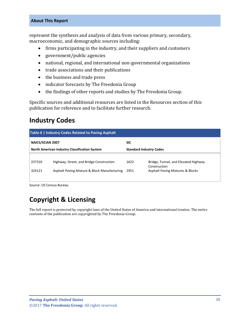#### **About This Report**

represent the synthesis and analysis of data from various primary, secondary, macroeconomic, and demographic sources including:

- firms participating in the industry, and their suppliers and customers
- government/public agencies
- national, regional, and international non-governmental organizations
- trade associations and their publications
- the business and trade press
- indicator forecasts by The Freedonia Group
- the findings of other reports and studies by The Freedonia Group.

Specific sources and additional resources are listed in the Resources section of this publication for reference and to facilitate further research.

## <span id="page-4-0"></span>**Industry Codes**

<span id="page-4-1"></span>

| Table 6   Industry Codes Related to Paving Asphalt                                     |                                              |            |                                                      |  |
|----------------------------------------------------------------------------------------|----------------------------------------------|------------|------------------------------------------------------|--|
| <b>NAICS/SCIAN 2007</b>                                                                |                                              | <b>SIC</b> |                                                      |  |
| <b>North American Industry Classification System</b><br><b>Standard Industry Codes</b> |                                              |            |                                                      |  |
|                                                                                        |                                              |            |                                                      |  |
| 237310                                                                                 | Highway, Street, and Bridge Construction     | 1622       | Bridge, Tunnel, and Elevated Highway<br>Construction |  |
| 324121                                                                                 | Asphalt Paving Mixture & Block Manufacturing | 2951       | <b>Asphalt Paving Mixtures &amp; Blocks</b>          |  |
|                                                                                        |                                              |            |                                                      |  |

Source: US Census Bureau

# **Copyright & Licensing**

The full report is protected by copyright laws of the United States of America and international treaties. The entire contents of the publication are copyrighted by The Freedonia Group.